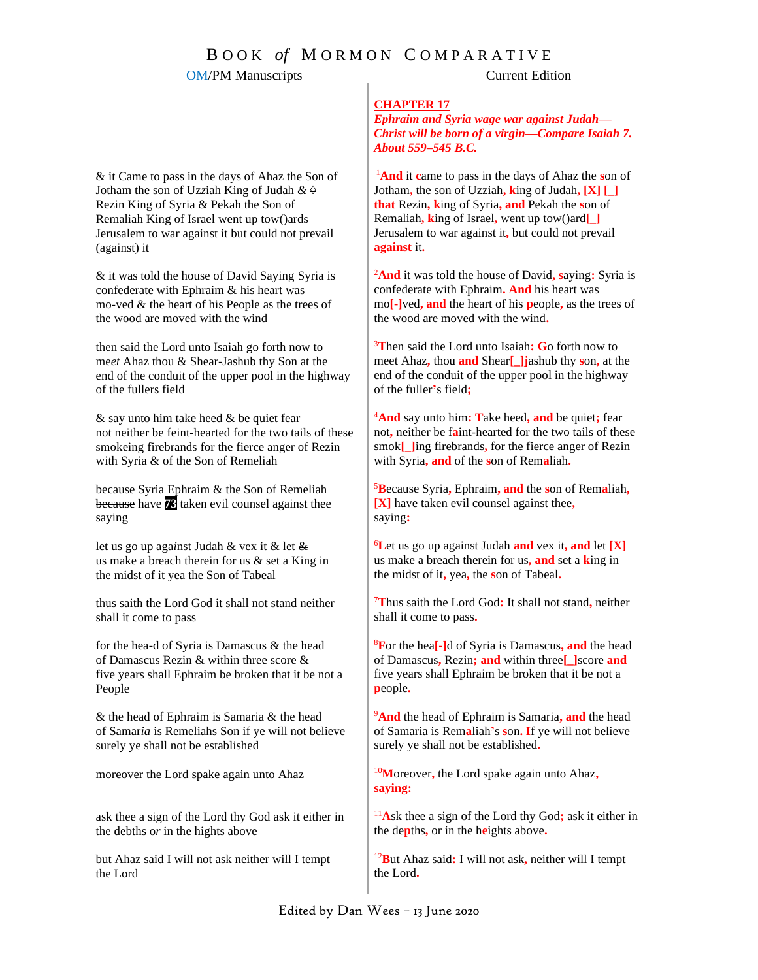## B O O K *of* M O R M O N C O M P A R A T I V E **OM/PM Manuscripts** Current Edition

#### **CHAPTER 17**

*Ephraim and Syria wage war against Judah— Christ will be born of a virgin—Compare Isaiah 7. About 559–545 B.C.*

<sup>1</sup>**And** it **c**ame to pass in the days of Ahaz the **s**on of Jotham**,** the son of Uzziah**, k**ing of Judah**, [X] [\_] that** Rezin**, k**ing of Syria**, and** Pekah the **s**on of Remaliah**, k**ing of Israel**,** went up tow()ard**[\_]** Jerusalem to war against it**,** but could not prevail **against** it**.**

<sup>2</sup>**And** it was told the house of David**, s**aying**:** Syria is confederate with Ephraim**. And** his heart was mo**[-]**ved**, and** the heart of his **p**eople**,** as the trees of the wood are moved with the wind**.**

<sup>3</sup>**T**hen said the Lord unto Isaiah**: G**o forth now to meet Ahaz**,** thou **and** Shear**[\_]j**ashub thy **s**on**,** at the end of the conduit of the upper pool in the highway of the fuller**'**s field**;**

<sup>4</sup>**And** say unto him**: T**ake heed**, and** be quiet**;** fear not**,** neither be f**a**int-hearted for the two tails of these smok**[\_]**ing firebrands**,** for the fierce anger of Rezin with Syria**, and** of the **s**on of Rem**a**liah**.**

<sup>5</sup>**B**ecause Syria**,** Ephraim**, and** the **s**on of Rem**a**liah**, [X]** have taken evil counsel against thee**,** saying**:**

<sup>6</sup>**L**et us go up against Judah **and** vex it**, and** let **[X]** us make a breach therein for us**, and** set a **k**ing in the midst of it**,** yea**,** the **s**on of Tabeal**.**

<sup>7</sup>**T**hus saith the Lord God**:** It shall not stand**,** neither shall it come to pass**.**

<sup>8</sup>**F**or the hea**[-]**d of Syria is Damascus**, and** the head of Damascus**,** Rezin**; and** within three**[\_]**score **and** five years shall Ephraim be broken that it be not a **p**eople**.**

<sup>9</sup>**And** the head of Ephraim is Samaria**, and** the head of Samaria is Rem**a**liah**'**s **s**on**. I**f ye will not believe surely ye shall not be established**.**

<sup>10</sup>**M**oreover**,** the Lord spake again unto Ahaz**, saying:**

<sup>11</sup>**A**sk thee a sign of the Lord thy God**;** ask it either in the de**p**ths**,** or in the h**e**ights above**.**

<sup>12</sup>**B**ut Ahaz said**:** I will not ask**,** neither will I tempt the Lord**.**

& it Came to pass in the days of Ahaz the Son of Jotham the son of Uz*z*iah King of Judah *& ◊* Rezin King of Syria & Pekah the Son of Remaliah King of Israel went up tow()ards Jerusalem to war against it but could not prevail (against) it

& it was told the house of David Saying Syria is confederate with Ephraim & his heart was mo-ved & the heart of his People as the trees of the wood are moved with the wind

then said the Lord unto Isaiah go forth now to me*et* Ahaz thou & Shear*-*Jashub thy Son at the end of the conduit of the upper pool in the highway of the fullers field

& say unto him take heed & be quiet fear not neither be feint*-*hearted for the two tails of these smokeing firebrands for the fierce anger of Rezin with Syria & of the Son of Remeliah

because Syria Ephraim & the Son of Remeliah because have **73** taken evil counsel against thee saying

let us go up aga*i*nst Judah & vex it & let & us make a breach therein for us & set a King in the midst of it yea the Son of Tabeal

thus saith the Lord God it shall not stand neither shall it come to pass

for the hea-d of Syria is Damascus & the head of Damascus Rezin & within three score & five years shall Ephraim be broken that it be not a People

& the head of Ephraim is Samaria & the head of Samar*ia* is Remeliahs Son if ye will not believe surely ye shall not be established

moreover the Lord spake again unto Ahaz

ask thee a sign of the Lord thy God ask it either in the debths o*r* in the hights above

but Ahaz said I will not ask neither will I tempt the Lord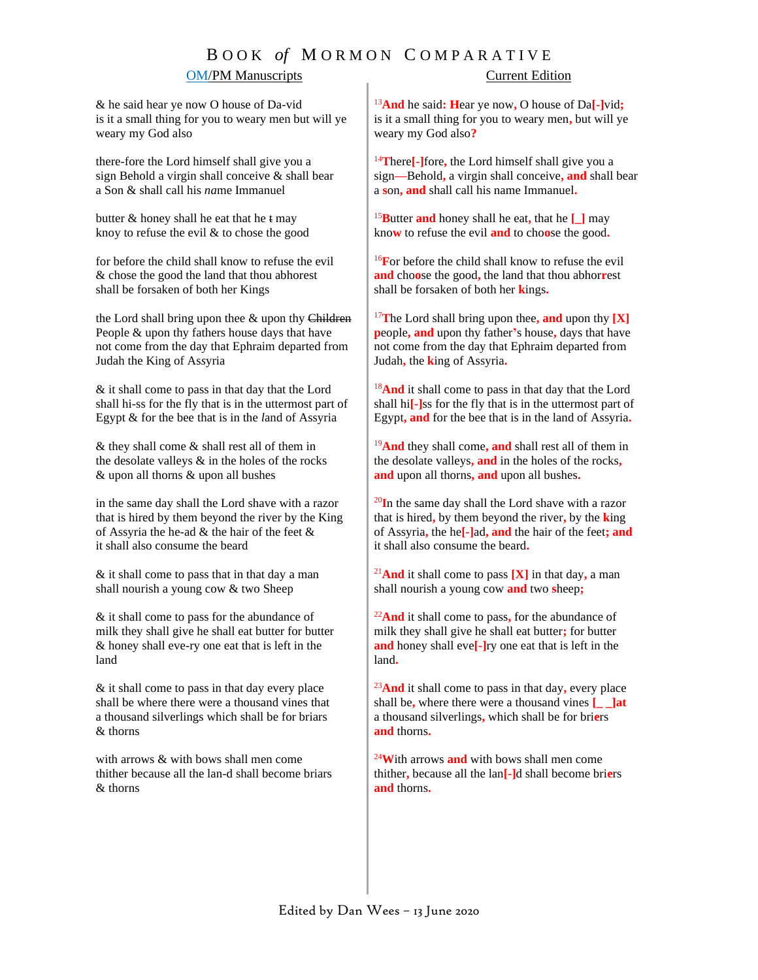# B O O K *of* M O R M O N C O M P A R A T I V E

### OM/PM Manuscripts Current Edition

& he said hear ye now O house of Da-vid is it a small thing for you to weary men but will ye weary my God also

there-fore the Lord himself shall give you a sign Behold a virgin shall conceive & shall bear a Son & shall call his *na*me Immanuel

butter  $&$  honey shall he eat that he  $t$  may knoy to refuse the evil & to chose the good

for before the child shall know to refuse the evil & chose the good the land that thou abhorest shall be forsaken of both her Kings

the Lord shall bring upon thee & upon thy Children People & upon thy fathers house days that have not come from the day that Ephraim departed from Judah the King of As*s*yria

& it shall come to pass in that day that the Lord shall hi-ss for the fly that is in the uttermost part of Egypt & for the bee that is in the *l*and of Assyria

& they shall come & shall rest all of them in the desolate valleys & in the holes of the rocks & upon all thorns & upon all bushes

in the same day shall the Lord shave with a razor that is hired by them beyond the river by the King of Assyria the he-ad & the hair of the feet & it shall also consume the beard

& it shall come to pass that in that day a man shall nourish a young cow & two Sheep

& it shall come to pass for the abundance of milk they shall give he shall eat butter for butter & honey shall eve-ry one eat that is left in the land

& it shall come to pass in that day every place shall be where there were a thousand vines that a thousand silverlings which shall be for briars & thorns

with arrows & with bows shall men come thither because all the lan-d shall become briars & thorns

<sup>13</sup>**And** he said**: H**ear ye now**,** O house of Da**[-]**vid**;** is it a small thing for you to weary men**,** but will ye weary my God also**?**

<sup>14</sup>**T**here**[-]**fore**,** the Lord himself shall give you a sign**—**Behold**,** a virgin shall conceive**, and** shall bear a **s**on**, and** shall call his name Immanuel**.**

<sup>15</sup>**B**utter **and** honey shall he eat**,** that he **[\_]** may kno**w** to refuse the evil **and** to cho**o**se the good**.**

<sup>16</sup>**F**or before the child shall know to refuse the evil **and** cho**o**se the good**,** the land that thou abhor**r**est shall be forsaken of both her **k**ings**.**

<sup>17</sup>**T**he Lord shall bring upon thee**, and** upon thy **[X] p**eople**, and** upon thy father**'**s house**,** days that have not come from the day that Ephraim departed from Judah**,** the **k**ing of Assyria**.**

<sup>18</sup>**And** it shall come to pass in that day that the Lord shall hi**[-]**ss for the fly that is in the uttermost part of Egypt**, and** for the bee that is in the land of Assyria**.**

<sup>19</sup>**And** they shall come**, and** shall rest all of them in the desolate valleys**, and** in the holes of the rocks**, and** upon all thorns**, and** upon all bushes**.** 

<sup>20</sup>**I**n the same day shall the Lord shave with a razor that is hired**,** by them beyond the river**,** by the **k**ing of Assyria**,** the he**[-]**ad**, and** the hair of the feet**; and**  it shall also consume the beard**.**

<sup>21</sup>**And** it shall come to pass  $[X]$  in that day, a man shall nourish a young cow **and** two **s**heep**;**

<sup>22</sup>**And** it shall come to pass**,** for the abundance of milk they shall give he shall eat butter**;** for butter **and** honey shall eve**[-]**ry one eat that is left in the land**.** 

<sup>23</sup>**And** it shall come to pass in that day**,** every place shall be**,** where there were a thousand vines **[\_ \_]at** a thousand silverlings**,** which shall be for bri**e**rs **and** thorns**.**

<sup>24</sup>**W**ith arrows **and** with bows shall men come thither**,** because all the lan**[-]**d shall become bri**e**rs **and** thorns**.**